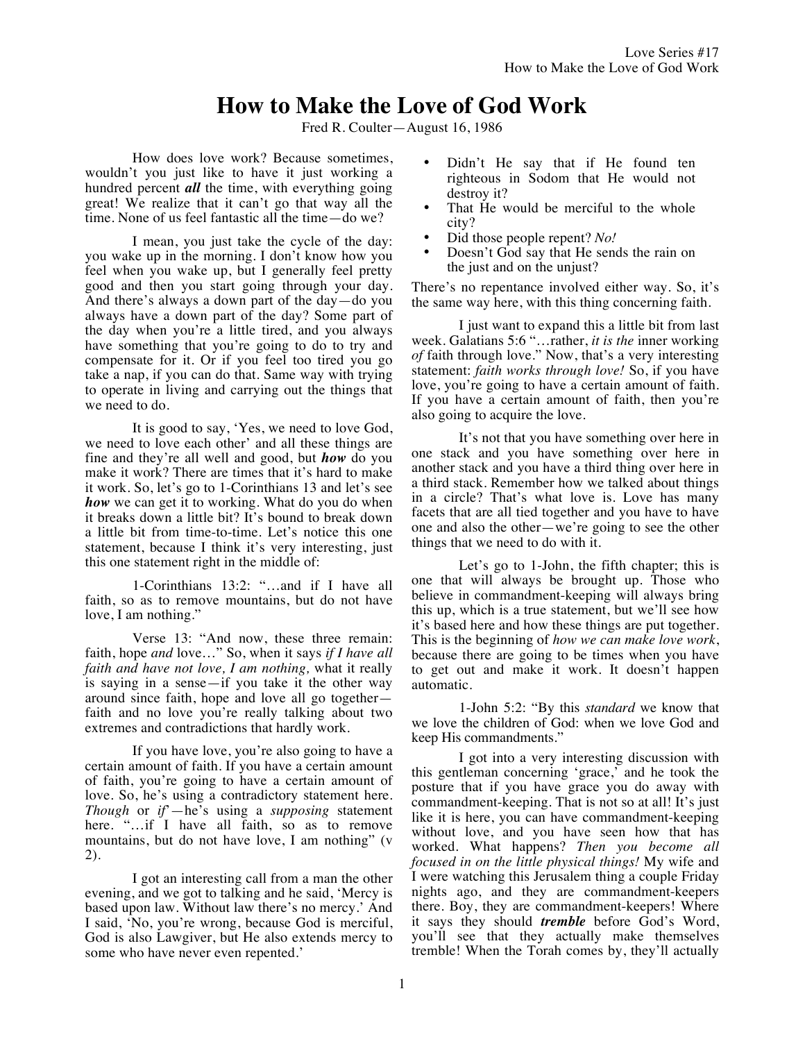# **How to Make the Love of God Work**

Fred R. Coulter—August 16, 1986

How does love work? Because sometimes, wouldn't you just like to have it just working a hundred percent *all* the time, with everything going great! We realize that it can't go that way all the time. None of us feel fantastic all the time—do we?

I mean, you just take the cycle of the day: you wake up in the morning. I don't know how you feel when you wake up, but I generally feel pretty good and then you start going through your day. And there's always a down part of the day—do you always have a down part of the day? Some part of the day when you're a little tired, and you always have something that you're going to do to try and compensate for it. Or if you feel too tired you go take a nap, if you can do that. Same way with trying to operate in living and carrying out the things that we need to do.

It is good to say, 'Yes, we need to love God, we need to love each other' and all these things are fine and they're all well and good, but *how* do you make it work? There are times that it's hard to make it work. So, let's go to 1-Corinthians 13 and let's see *how* we can get it to working. What do you do when it breaks down a little bit? It's bound to break down a little bit from time-to-time. Let's notice this one statement, because I think it's very interesting, just this one statement right in the middle of:

1-Corinthians 13:2: "…and if I have all faith, so as to remove mountains, but do not have love, I am nothing."

Verse 13: "And now, these three remain: faith, hope *and* love…" So, when it says *if I have all faith and have not love, I am nothing,* what it really is saying in a sense—if you take it the other way around since faith, hope and love all go together faith and no love you're really talking about two extremes and contradictions that hardly work.

If you have love, you're also going to have a certain amount of faith. If you have a certain amount of faith, you're going to have a certain amount of love. So, he's using a contradictory statement here. *Though* or *if*'—he's using a *supposing* statement here. "…if I have all faith, so as to remove mountains, but do not have love, I am nothing" (v 2).

I got an interesting call from a man the other evening, and we got to talking and he said, 'Mercy is based upon law. Without law there's no mercy.' And I said, 'No, you're wrong, because God is merciful, God is also Lawgiver, but He also extends mercy to some who have never even repented.'

- Didn't He say that if He found ten righteous in Sodom that He would not destroy it?
- That He would be merciful to the whole city?
- Did those people repent? *No!*
- Doesn't God say that He sends the rain on the just and on the unjust?

There's no repentance involved either way. So, it's the same way here, with this thing concerning faith.

I just want to expand this a little bit from last week. Galatians 5:6 "…rather, *it is the* inner working *of* faith through love." Now, that's a very interesting statement: *faith works through love!* So, if you have love, you're going to have a certain amount of faith. If you have a certain amount of faith, then you're also going to acquire the love.

It's not that you have something over here in one stack and you have something over here in another stack and you have a third thing over here in a third stack. Remember how we talked about things in a circle? That's what love is. Love has many facets that are all tied together and you have to have one and also the other—we're going to see the other things that we need to do with it.

Let's go to 1-John, the fifth chapter; this is one that will always be brought up. Those who believe in commandment-keeping will always bring this up, which is a true statement, but we'll see how it's based here and how these things are put together. This is the beginning of *how we can make love work*, because there are going to be times when you have to get out and make it work. It doesn't happen automatic.

1-John 5:2: "By this *standard* we know that we love the children of God: when we love God and keep His commandments."

I got into a very interesting discussion with this gentleman concerning 'grace,' and he took the posture that if you have grace you do away with commandment-keeping. That is not so at all! It's just like it is here, you can have commandment-keeping without love, and you have seen how that has worked. What happens? *Then you become all focused in on the little physical things!* My wife and I were watching this Jerusalem thing a couple Friday nights ago, and they are commandment-keepers there. Boy, they are commandment-keepers! Where it says they should *tremble* before God's Word, you'll see that they actually make themselves tremble! When the Torah comes by, they'll actually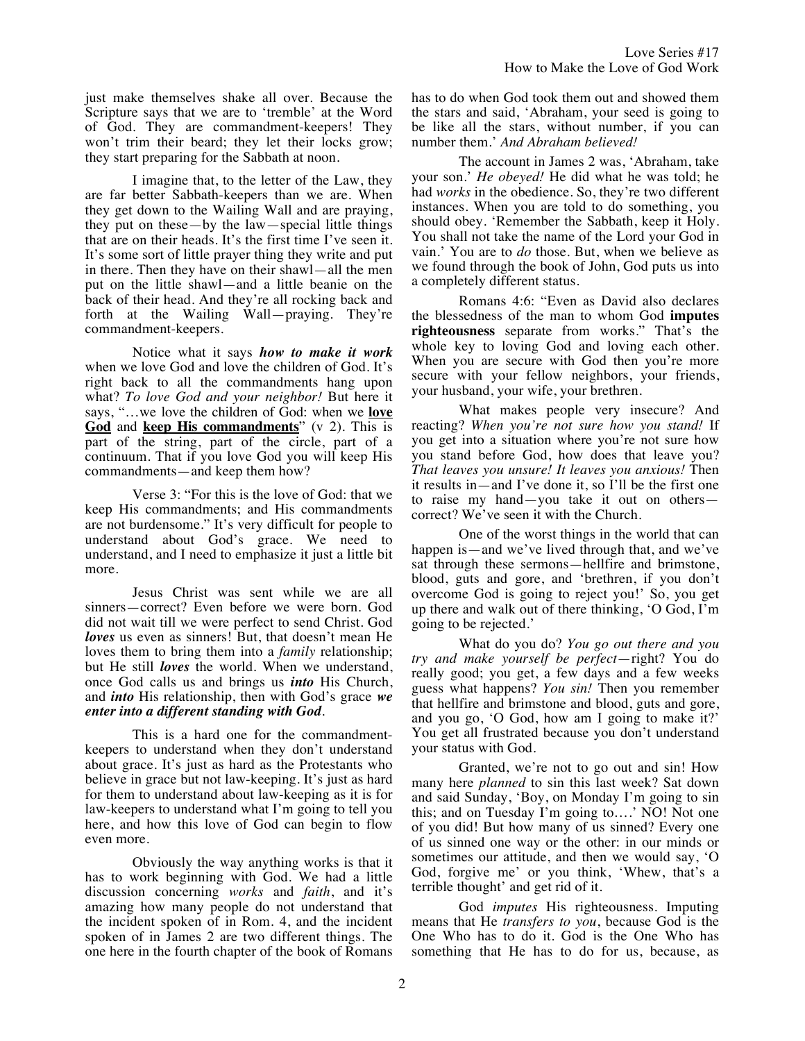just make themselves shake all over. Because the Scripture says that we are to 'tremble' at the Word of God. They are commandment-keepers! They won't trim their beard; they let their locks grow; they start preparing for the Sabbath at noon.

I imagine that, to the letter of the Law, they are far better Sabbath-keepers than we are. When they get down to the Wailing Wall and are praying, they put on these—by the law—special little things that are on their heads. It's the first time I've seen it. It's some sort of little prayer thing they write and put in there. Then they have on their shawl—all the men put on the little shawl—and a little beanie on the back of their head. And they're all rocking back and forth at the Wailing Wall—praying. They're commandment-keepers.

Notice what it says *how to make it work* when we love God and love the children of God. It's right back to all the commandments hang upon what? *To love God and your neighbor!* But here it says, "…we love the children of God: when we **love God** and **keep His commandments**" (v 2). This is part of the string, part of the circle, part of a continuum. That if you love God you will keep His commandments—and keep them how?

Verse 3: "For this is the love of God: that we keep His commandments; and His commandments are not burdensome." It's very difficult for people to understand about God's grace. We need to understand, and I need to emphasize it just a little bit more.

Jesus Christ was sent while we are all sinners—correct? Even before we were born. God did not wait till we were perfect to send Christ. God *loves* us even as sinners! But, that doesn't mean He loves them to bring them into a *family* relationship; but He still *loves* the world. When we understand, once God calls us and brings us *into* His Church, and *into* His relationship, then with God's grace *we enter into a different standing with God*.

This is a hard one for the commandmentkeepers to understand when they don't understand about grace. It's just as hard as the Protestants who believe in grace but not law-keeping. It's just as hard for them to understand about law-keeping as it is for law-keepers to understand what I'm going to tell you here, and how this love of God can begin to flow even more.

Obviously the way anything works is that it has to work beginning with God. We had a little discussion concerning *works* and *faith*, and it's amazing how many people do not understand that the incident spoken of in Rom. 4, and the incident spoken of in James 2 are two different things. The one here in the fourth chapter of the book of Romans

has to do when God took them out and showed them the stars and said, 'Abraham, your seed is going to be like all the stars, without number, if you can number them.' *And Abraham believed!*

The account in James 2 was, 'Abraham, take your son.' *He obeyed!* He did what he was told; he had *works* in the obedience. So, they're two different instances. When you are told to do something, you should obey. 'Remember the Sabbath, keep it Holy. You shall not take the name of the Lord your God in vain.' You are to *do* those. But, when we believe as we found through the book of John, God puts us into a completely different status.

Romans 4:6: "Even as David also declares the blessedness of the man to whom God **imputes righteousness** separate from works." That's the whole key to loving God and loving each other. When you are secure with God then you're more secure with your fellow neighbors, your friends, your husband, your wife, your brethren.

What makes people very insecure? And reacting? *When you're not sure how you stand!* If you get into a situation where you're not sure how you stand before God, how does that leave you? *That leaves you unsure! It leaves you anxious!* Then it results in—and I've done it, so I'll be the first one to raise my hand—you take it out on others correct? We've seen it with the Church.

One of the worst things in the world that can happen is—and we've lived through that, and we've sat through these sermons—hellfire and brimstone, blood, guts and gore, and 'brethren, if you don't overcome God is going to reject you!' So, you get up there and walk out of there thinking, 'O God, I'm going to be rejected.'

What do you do? *You go out there and you try and make yourself be perfect*—right? You do really good; you get, a few days and a few weeks guess what happens? *You sin!* Then you remember that hellfire and brimstone and blood, guts and gore, and you go, 'O God, how am I going to make it?' You get all frustrated because you don't understand your status with God.

Granted, we're not to go out and sin! How many here *planned* to sin this last week? Sat down and said Sunday, 'Boy, on Monday I'm going to sin this; and on Tuesday I'm going to….' NO! Not one of you did! But how many of us sinned? Every one of us sinned one way or the other: in our minds or sometimes our attitude, and then we would say, 'O God, forgive me' or you think, 'Whew, that's a terrible thought' and get rid of it.

God *imputes* His righteousness. Imputing means that He *transfers to you*, because God is the One Who has to do it. God is the One Who has something that He has to do for us, because, as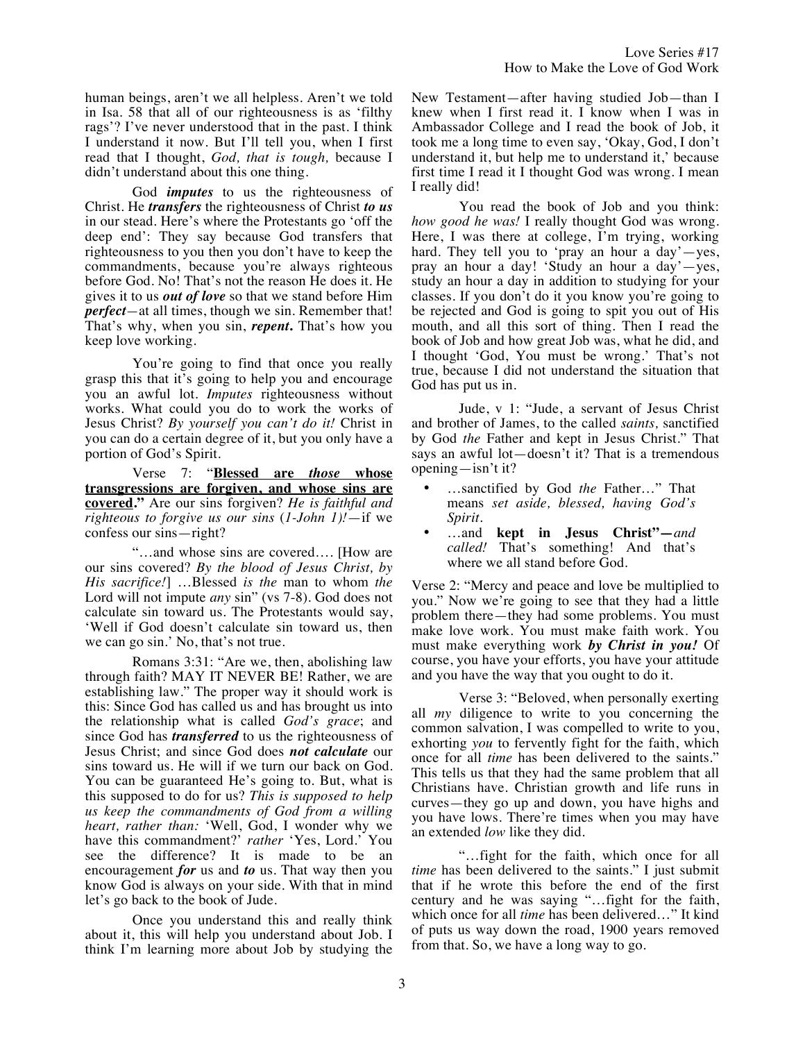human beings, aren't we all helpless. Aren't we told in Isa. 58 that all of our righteousness is as 'filthy rags'? I've never understood that in the past. I think I understand it now. But I'll tell you, when I first read that I thought, *God, that is tough,* because I didn't understand about this one thing.

God *imputes* to us the righteousness of Christ. He *transfers* the righteousness of Christ *to us*  in our stead. Here's where the Protestants go 'off the deep end': They say because God transfers that righteousness to you then you don't have to keep the commandments, because you're always righteous before God. No! That's not the reason He does it. He gives it to us *out of love* so that we stand before Him *perfect—*at all times, though we sin. Remember that! That's why, when you sin, *repent***.** That's how you keep love working.

You're going to find that once you really grasp this that it's going to help you and encourage you an awful lot. *Imputes* righteousness without works. What could you do to work the works of Jesus Christ? *By yourself you can't do it!* Christ in you can do a certain degree of it, but you only have a portion of God's Spirit.

Verse 7: "**Blessed are** *those* **whose transgressions are forgiven, and whose sins are covered."** Are our sins forgiven? *He is faithful and righteous to forgive us our sins* (*1-John 1)!*—if we confess our sins—right?

"…and whose sins are covered…. [How are our sins covered? *By the blood of Jesus Christ, by His sacrifice!*] …Blessed *is the* man to whom *the* Lord will not impute *any* sin" (vs 7-8). God does not calculate sin toward us. The Protestants would say, 'Well if God doesn't calculate sin toward us, then we can go sin.' No, that's not true.

Romans 3:31: "Are we, then, abolishing law through faith? MAY IT NEVER BE! Rather, we are establishing law." The proper way it should work is this: Since God has called us and has brought us into the relationship what is called *God's grace*; and since God has *transferred* to us the righteousness of Jesus Christ; and since God does *not calculate* our sins toward us. He will if we turn our back on God. You can be guaranteed He's going to. But, what is this supposed to do for us? *This is supposed to help us keep the commandments of God from a willing heart, rather than:* 'Well, God, I wonder why we have this commandment?' *rather* 'Yes, Lord.' You see the difference? It is made to be an encouragement *for* us and *to* us. That way then you know God is always on your side. With that in mind let's go back to the book of Jude.

Once you understand this and really think about it, this will help you understand about Job. I think I'm learning more about Job by studying the

New Testament—after having studied Job—than I knew when I first read it. I know when I was in Ambassador College and I read the book of Job, it took me a long time to even say, 'Okay, God, I don't understand it, but help me to understand it,' because first time I read it I thought God was wrong. I mean I really did!

You read the book of Job and you think: *how good he was!* I really thought God was wrong. Here, I was there at college, I'm trying, working hard. They tell you to 'pray an hour a day'—yes, pray an hour a day! 'Study an hour a day'—yes, study an hour a day in addition to studying for your classes. If you don't do it you know you're going to be rejected and God is going to spit you out of His mouth, and all this sort of thing. Then I read the book of Job and how great Job was, what he did, and I thought 'God, You must be wrong.' That's not true, because I did not understand the situation that God has put us in.

Jude, v 1: "Jude, a servant of Jesus Christ and brother of James, to the called *saints,* sanctified by God *the* Father and kept in Jesus Christ." That says an awful lot—doesn't it? That is a tremendous opening—isn't it?

- …sanctified by God *the* Father…" That means *set aside, blessed, having God's Spirit*.
- …and **kept in Jesus Christ"—***and called!* That's something! And that's where we all stand before God.

Verse 2: "Mercy and peace and love be multiplied to you." Now we're going to see that they had a little problem there—they had some problems. You must make love work. You must make faith work. You must make everything work *by Christ in you!* Of course, you have your efforts, you have your attitude and you have the way that you ought to do it.

Verse 3: "Beloved, when personally exerting all *my* diligence to write to you concerning the common salvation, I was compelled to write to you, exhorting *you* to fervently fight for the faith, which once for all *time* has been delivered to the saints." This tells us that they had the same problem that all Christians have. Christian growth and life runs in curves—they go up and down, you have highs and you have lows. There're times when you may have an extended *low* like they did.

"…fight for the faith, which once for all *time* has been delivered to the saints." I just submit that if he wrote this before the end of the first century and he was saying "…fight for the faith, which once for all *time* has been delivered…" It kind of puts us way down the road, 1900 years removed from that. So, we have a long way to go.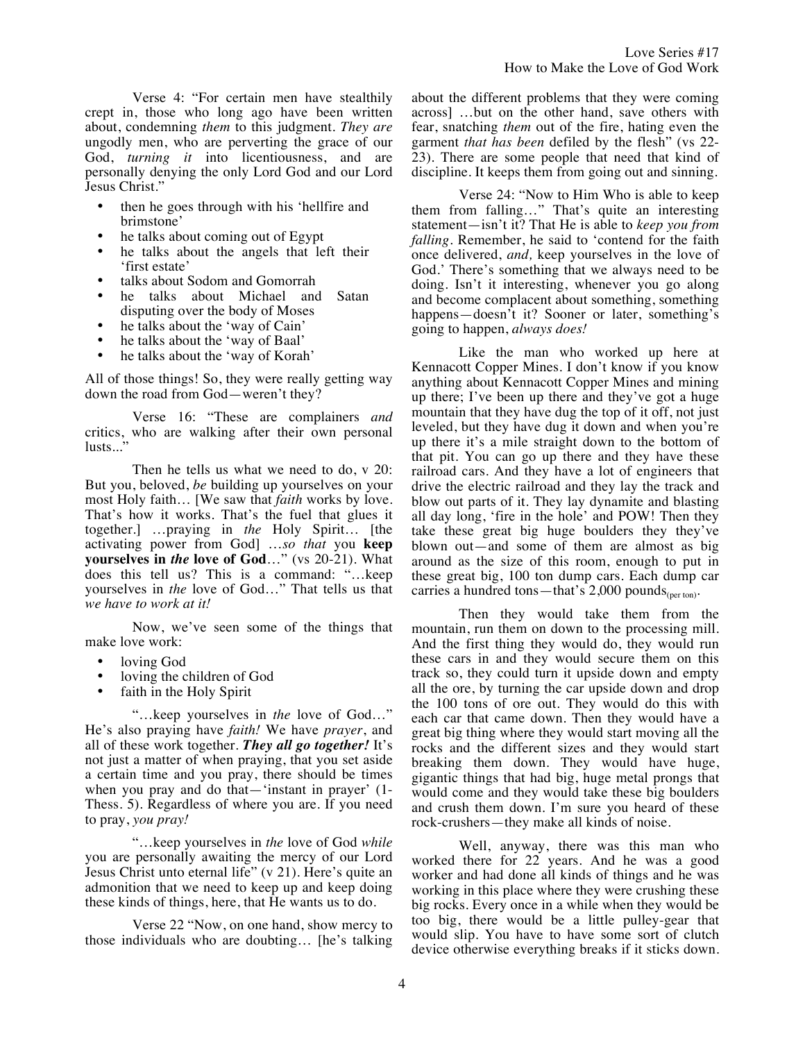Verse 4: "For certain men have stealthily crept in, those who long ago have been written about, condemning *them* to this judgment. *They are* ungodly men, who are perverting the grace of our God, *turning it* into licentiousness, and are personally denying the only Lord God and our Lord Jesus Christ."

- then he goes through with his 'hellfire and brimstone'
- he talks about coming out of Egypt
- he talks about the angels that left their 'first estate'
- talks about Sodom and Gomorrah
- he talks about Michael and Satan disputing over the body of Moses
- he talks about the 'way of Cain'
- he talks about the 'way of Baal'
- he talks about the 'way of Korah'

All of those things! So, they were really getting way down the road from God—weren't they?

Verse 16: "These are complainers *and* critics, who are walking after their own personal lusts...'

Then he tells us what we need to do, v 20: But you, beloved, *be* building up yourselves on your most Holy faith… [We saw that *faith* works by love. That's how it works. That's the fuel that glues it together.] …praying in *the* Holy Spirit… [the activating power from God] …*so that* you **keep yourselves in** *the* **love of God**…" (vs 20-21). What does this tell us? This is a command: "…keep yourselves in *the* love of God…" That tells us that *we have to work at it!*

Now, we've seen some of the things that make love work:

- loving God
- loving the children of God
- faith in the Holy Spirit

"…keep yourselves in *the* love of God…" He's also praying have *faith!* We have *prayer*, and all of these work together. *They all go together!* It's not just a matter of when praying, that you set aside a certain time and you pray, there should be times when you pray and do that—'instant in prayer' (1- Thess. 5). Regardless of where you are. If you need to pray, *you pray!*

"…keep yourselves in *the* love of God *while* you are personally awaiting the mercy of our Lord Jesus Christ unto eternal life" (v 21). Here's quite an admonition that we need to keep up and keep doing these kinds of things, here, that He wants us to do.

Verse 22 "Now, on one hand, show mercy to those individuals who are doubting… [he's talking about the different problems that they were coming across] …but on the other hand, save others with fear, snatching *them* out of the fire, hating even the garment *that has been* defiled by the flesh" (vs 22- 23). There are some people that need that kind of discipline. It keeps them from going out and sinning.

Verse 24: "Now to Him Who is able to keep them from falling…" That's quite an interesting statement—isn't it? That He is able to *keep you from falling.* Remember, he said to 'contend for the faith once delivered, *and,* keep yourselves in the love of God.' There's something that we always need to be doing. Isn't it interesting, whenever you go along and become complacent about something, something happens—doesn't it? Sooner or later, something's going to happen, *always does!*

Like the man who worked up here at Kennacott Copper Mines. I don't know if you know anything about Kennacott Copper Mines and mining up there; I've been up there and they've got a huge mountain that they have dug the top of it off, not just leveled, but they have dug it down and when you're up there it's a mile straight down to the bottom of that pit. You can go up there and they have these railroad cars. And they have a lot of engineers that drive the electric railroad and they lay the track and blow out parts of it. They lay dynamite and blasting all day long, 'fire in the hole' and POW! Then they take these great big huge boulders they they've blown out—and some of them are almost as big around as the size of this room, enough to put in these great big, 100 ton dump cars. Each dump car carries a hundred tons—that's  $2,000$  pounds<sub>(per ton)</sub>.

Then they would take them from the mountain, run them on down to the processing mill. And the first thing they would do, they would run these cars in and they would secure them on this track so, they could turn it upside down and empty all the ore, by turning the car upside down and drop the 100 tons of ore out. They would do this with each car that came down. Then they would have a great big thing where they would start moving all the rocks and the different sizes and they would start breaking them down. They would have huge, gigantic things that had big, huge metal prongs that would come and they would take these big boulders and crush them down. I'm sure you heard of these rock-crushers—they make all kinds of noise.

Well, anyway, there was this man who worked there for 22 years. And he was a good worker and had done all kinds of things and he was working in this place where they were crushing these big rocks. Every once in a while when they would be too big, there would be a little pulley-gear that would slip. You have to have some sort of clutch device otherwise everything breaks if it sticks down.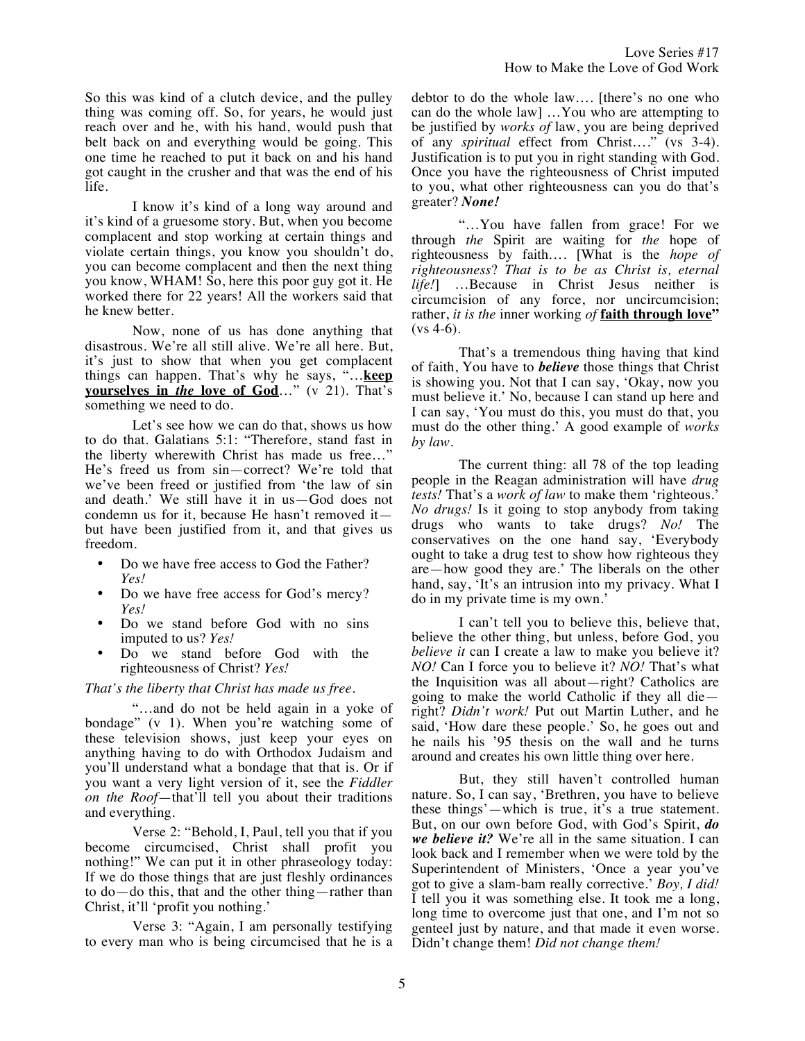So this was kind of a clutch device, and the pulley thing was coming off. So, for years, he would just reach over and he, with his hand, would push that belt back on and everything would be going. This one time he reached to put it back on and his hand got caught in the crusher and that was the end of his life.

I know it's kind of a long way around and it's kind of a gruesome story. But, when you become complacent and stop working at certain things and violate certain things, you know you shouldn't do, you can become complacent and then the next thing you know, WHAM! So, here this poor guy got it. He worked there for 22 years! All the workers said that he knew better.

Now, none of us has done anything that disastrous. We're all still alive. We're all here. But, it's just to show that when you get complacent things can happen. That's why he says, "…**keep yourselves in** *the* **love of God**…" (v 21). That's something we need to do.

Let's see how we can do that, shows us how to do that. Galatians 5:1: "Therefore, stand fast in the liberty wherewith Christ has made us free…" He's freed us from sin—correct? We're told that we've been freed or justified from 'the law of sin and death.' We still have it in us—God does not condemn us for it, because He hasn't removed it but have been justified from it, and that gives us freedom.

- Do we have free access to God the Father? *Yes!*
- Do we have free access for God's mercy? *Yes!*
- Do we stand before God with no sins imputed to us? *Yes!*
- Do we stand before God with the righteousness of Christ? *Yes!*

#### *That's the liberty that Christ has made us free.*

"…and do not be held again in a yoke of bondage" (v 1). When you're watching some of these television shows, just keep your eyes on anything having to do with Orthodox Judaism and you'll understand what a bondage that that is. Or if you want a very light version of it, see the *Fiddler on the Roof*—that'll tell you about their traditions and everything.

Verse 2: "Behold, I, Paul, tell you that if you become circumcised, Christ shall profit you nothing!" We can put it in other phraseology today: If we do those things that are just fleshly ordinances to do—do this, that and the other thing—rather than Christ, it'll 'profit you nothing.'

Verse 3: "Again, I am personally testifying to every man who is being circumcised that he is a debtor to do the whole law…. [there's no one who can do the whole law] …You who are attempting to be justified by *works of* law, you are being deprived of any *spiritual* effect from Christ…." (vs 3-4). Justification is to put you in right standing with God. Once you have the righteousness of Christ imputed to you, what other righteousness can you do that's greater? *None!* 

"…You have fallen from grace! For we through *the* Spirit are waiting for *the* hope of righteousness by faith…. [What is the *hope of righteousness*? *That is to be as Christ is, eternal life!*] …Because in Christ Jesus neither is circumcision of any force, nor uncircumcision; rather, *it is the* inner working *of* **faith through love"**  $(vs 4-6)$ .

That's a tremendous thing having that kind of faith, You have to *believe* those things that Christ is showing you. Not that I can say, 'Okay, now you must believe it.' No, because I can stand up here and I can say, 'You must do this, you must do that, you must do the other thing.' A good example of *works by law*.

The current thing: all 78 of the top leading people in the Reagan administration will have *drug tests!* That's a *work of law* to make them 'righteous.' *No drugs!* Is it going to stop anybody from taking drugs who wants to take drugs? *No!* The conservatives on the one hand say, 'Everybody ought to take a drug test to show how righteous they are—how good they are.' The liberals on the other hand, say, 'It's an intrusion into my privacy. What I do in my private time is my own.'

I can't tell you to believe this, believe that, believe the other thing, but unless, before God, you *believe it* can I create a law to make you believe it? *NO!* Can I force you to believe it? *NO!* That's what the Inquisition was all about—right? Catholics are going to make the world Catholic if they all die right? *Didn't work!* Put out Martin Luther, and he said, 'How dare these people.' So, he goes out and he nails his '95 thesis on the wall and he turns around and creates his own little thing over here.

But, they still haven't controlled human nature. So, I can say, 'Brethren, you have to believe these things'—which is true, it's a true statement. But, on our own before God, with God's Spirit, *do we believe it?* We're all in the same situation. I can look back and I remember when we were told by the Superintendent of Ministers, 'Once a year you've got to give a slam-bam really corrective.' *Boy, I did!* I tell you it was something else. It took me a long, long time to overcome just that one, and I'm not so genteel just by nature, and that made it even worse. Didn't change them! *Did not change them!*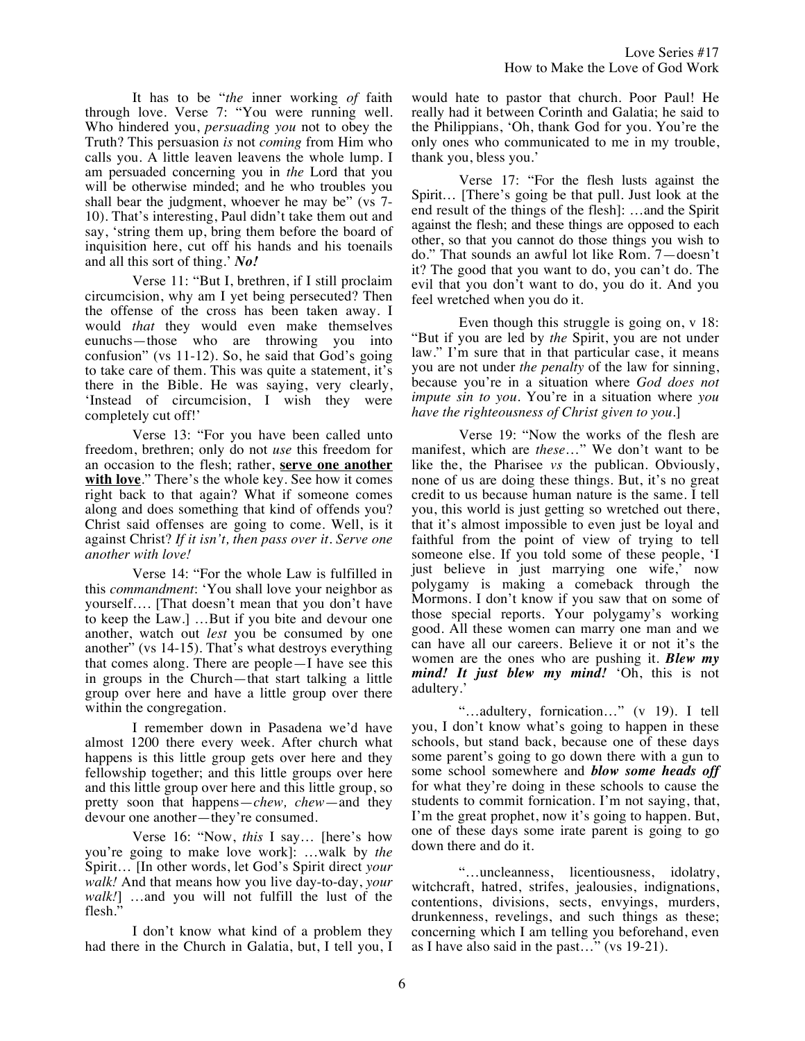It has to be "*the* inner working *of* faith through love. Verse 7: "You were running well. Who hindered you, *persuading you* not to obey the Truth? This persuasion *is* not *coming* from Him who calls you. A little leaven leavens the whole lump. I am persuaded concerning you in *the* Lord that you will be otherwise minded; and he who troubles you shall bear the judgment, whoever he may be" (vs 7- 10). That's interesting, Paul didn't take them out and say, 'string them up, bring them before the board of inquisition here, cut off his hands and his toenails and all this sort of thing.' *No!*

Verse 11: "But I, brethren, if I still proclaim circumcision, why am I yet being persecuted? Then the offense of the cross has been taken away. I would *that* they would even make themselves eunuchs—those who are throwing you into confusion" (vs 11-12). So, he said that God's going to take care of them. This was quite a statement, it's there in the Bible. He was saying, very clearly, 'Instead of circumcision, I wish they were completely cut off!'

Verse 13: "For you have been called unto freedom, brethren; only do not *use* this freedom for an occasion to the flesh; rather, **serve one another with love**." There's the whole key. See how it comes right back to that again? What if someone comes along and does something that kind of offends you? Christ said offenses are going to come. Well, is it against Christ? *If it isn't, then pass over it. Serve one another with love!*

Verse 14: "For the whole Law is fulfilled in this *commandment*: 'You shall love your neighbor as yourself…. [That doesn't mean that you don't have to keep the Law.] …But if you bite and devour one another, watch out *lest* you be consumed by one another" (vs 14-15). That's what destroys everything that comes along. There are people—I have see this in groups in the Church—that start talking a little group over here and have a little group over there within the congregation.

I remember down in Pasadena we'd have almost 1200 there every week. After church what happens is this little group gets over here and they fellowship together; and this little groups over here and this little group over here and this little group, so pretty soon that happens—*chew, chew*—and they devour one another—they're consumed.

Verse 16: "Now, *this* I say… [here's how you're going to make love work]: …walk by *the* Spirit… [In other words, let God's Spirit direct *your walk!* And that means how you live day-to-day, *your walk!*] …and you will not fulfill the lust of the flesh.'

I don't know what kind of a problem they had there in the Church in Galatia, but, I tell you, I would hate to pastor that church. Poor Paul! He really had it between Corinth and Galatia; he said to the Philippians, 'Oh, thank God for you. You're the only ones who communicated to me in my trouble, thank you, bless you.'

Verse 17: "For the flesh lusts against the Spirit… [There's going be that pull. Just look at the end result of the things of the flesh]: …and the Spirit against the flesh; and these things are opposed to each other, so that you cannot do those things you wish to do." That sounds an awful lot like Rom. 7—doesn't it? The good that you want to do, you can't do. The evil that you don't want to do, you do it. And you feel wretched when you do it.

Even though this struggle is going on, v 18: "But if you are led by *the* Spirit, you are not under law." I'm sure that in that particular case, it means you are not under *the penalty* of the law for sinning, because you're in a situation where *God does not impute sin to you.* You're in a situation where *you have the righteousness of Christ given to you*.]

Verse 19: "Now the works of the flesh are manifest, which are *these*…" We don't want to be like the, the Pharisee *vs* the publican. Obviously, none of us are doing these things. But, it's no great credit to us because human nature is the same. I tell you, this world is just getting so wretched out there, that it's almost impossible to even just be loyal and faithful from the point of view of trying to tell someone else. If you told some of these people, 'I just believe in just marrying one wife,' now polygamy is making a comeback through the Mormons. I don't know if you saw that on some of those special reports. Your polygamy's working good. All these women can marry one man and we can have all our careers. Believe it or not it's the women are the ones who are pushing it. *Blew my mind! It just blew my mind!* 'Oh, this is not adultery.'

"…adultery, fornication…" (v 19). I tell you, I don't know what's going to happen in these schools, but stand back, because one of these days some parent's going to go down there with a gun to some school somewhere and *blow some heads off*  for what they're doing in these schools to cause the students to commit fornication. I'm not saying, that, I'm the great prophet, now it's going to happen. But, one of these days some irate parent is going to go down there and do it.

"…uncleanness, licentiousness, idolatry, witchcraft, hatred, strifes, jealousies, indignations, contentions, divisions, sects, envyings, murders, drunkenness, revelings, and such things as these; concerning which I am telling you beforehand, even as I have also said in the past…" (vs 19-21).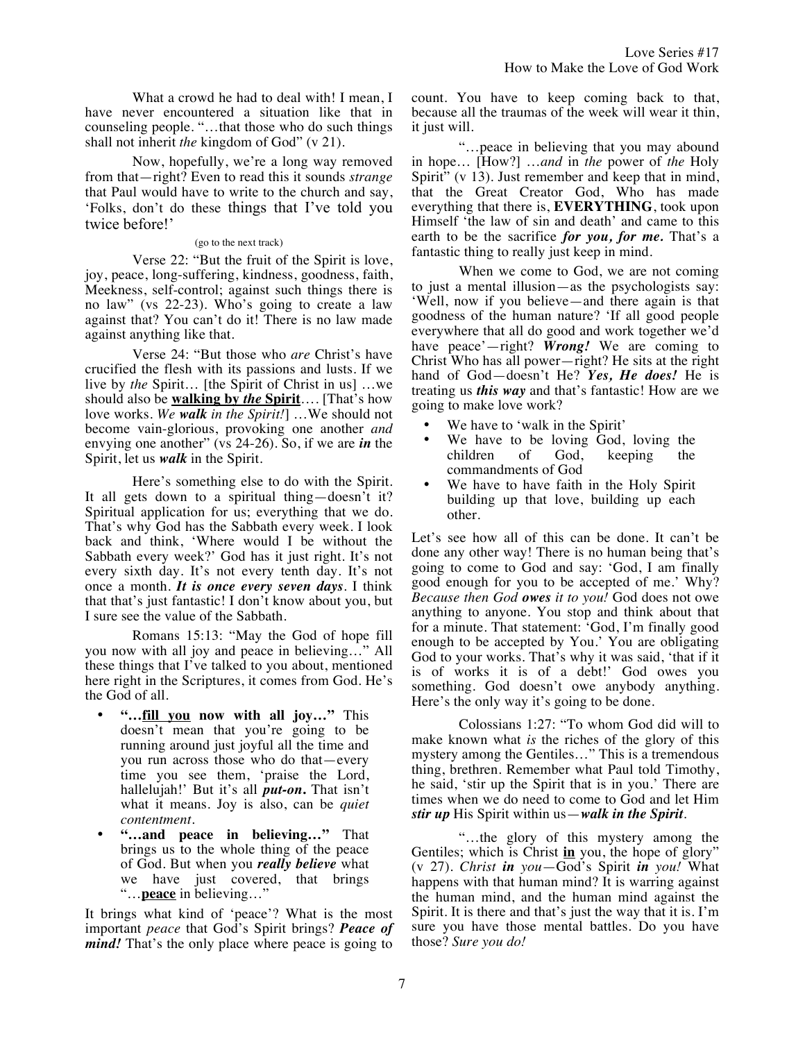What a crowd he had to deal with! I mean, I have never encountered a situation like that in counseling people. "…that those who do such things shall not inherit *the* kingdom of God" (v 21).

Now, hopefully, we're a long way removed from that—right? Even to read this it sounds *strange*  that Paul would have to write to the church and say, 'Folks, don't do these things that I've told you twice before!'

#### (go to the next track)

Verse 22: "But the fruit of the Spirit is love, joy, peace, long-suffering, kindness, goodness, faith, Meekness, self-control; against such things there is no law" (vs 22-23). Who's going to create a law against that? You can't do it! There is no law made against anything like that.

Verse 24: "But those who *are* Christ's have crucified the flesh with its passions and lusts. If we live by *the* Spirit… [the Spirit of Christ in us] …we should also be **walking by** *the* **Spirit**…. [That's how love works. *We walk in the Spirit!*] …We should not become vain-glorious, provoking one another *and* envying one another" (vs 24-26). So, if we are *in* the Spirit, let us *walk* in the Spirit.

Here's something else to do with the Spirit. It all gets down to a spiritual thing—doesn't it? Spiritual application for us; everything that we do. That's why God has the Sabbath every week. I look back and think, 'Where would I be without the Sabbath every week?' God has it just right. It's not every sixth day. It's not every tenth day. It's not once a month. *It is once every seven days*. I think that that's just fantastic! I don't know about you, but I sure see the value of the Sabbath.

Romans 15:13: "May the God of hope fill you now with all joy and peace in believing…" All these things that I've talked to you about, mentioned here right in the Scriptures, it comes from God. He's the God of all.

- **"…fill you now with all joy…"** This doesn't mean that you're going to be running around just joyful all the time and you run across those who do that—every time you see them, 'praise the Lord, hallelujah!' But it's all *put-on***.** That isn't what it means. Joy is also, can be *quiet contentment.*
- **"…and peace in believing…"** That brings us to the whole thing of the peace of God. But when you *really believe* what we have just covered, that brings "…**peace** in believing…"

It brings what kind of 'peace'? What is the most important *peace* that God's Spirit brings? *Peace of mind!* That's the only place where peace is going to count. You have to keep coming back to that, because all the traumas of the week will wear it thin, it just will.

"…peace in believing that you may abound in hope… [How?] …*and* in *the* power of *the* Holy Spirit" (v 13). Just remember and keep that in mind, that the Great Creator God, Who has made everything that there is, **EVERYTHING**, took upon Himself 'the law of sin and death' and came to this earth to be the sacrifice *for you, for me.* That's a fantastic thing to really just keep in mind.

When we come to God, we are not coming to just a mental illusion—as the psychologists say: 'Well, now if you believe—and there again is that goodness of the human nature? 'If all good people everywhere that all do good and work together we'd have peace'—right? *Wrong!* We are coming to Christ Who has all power—right? He sits at the right hand of God—doesn't He? *Yes, He does!* He is treating us *this way* and that's fantastic! How are we going to make love work?

- We have to 'walk in the Spirit'
- We have to be loving God, loving the children of God, keeping the keeping commandments of God
- We have to have faith in the Holy Spirit building up that love, building up each other.

Let's see how all of this can be done. It can't be done any other way! There is no human being that's going to come to God and say: 'God, I am finally good enough for you to be accepted of me.' Why? *Because then God owes it to you!* God does not owe anything to anyone. You stop and think about that for a minute. That statement: 'God, I'm finally good enough to be accepted by You.' You are obligating God to your works. That's why it was said, 'that if it is of works it is of a debt!' God owes you something. God doesn't owe anybody anything. Here's the only way it's going to be done.

Colossians 1:27: "To whom God did will to make known what *is* the riches of the glory of this mystery among the Gentiles…" This is a tremendous thing, brethren. Remember what Paul told Timothy, he said, 'stir up the Spirit that is in you.' There are times when we do need to come to God and let Him *stir up* His Spirit within us—*walk in the Spirit*.

"…the glory of this mystery among the Gentiles; which is Christ **in** you, the hope of glory" (v 27). *Christ in you*—God's Spirit *in you!* What happens with that human mind? It is warring against the human mind, and the human mind against the Spirit. It is there and that's just the way that it is. I'm sure you have those mental battles. Do you have those? *Sure you do!*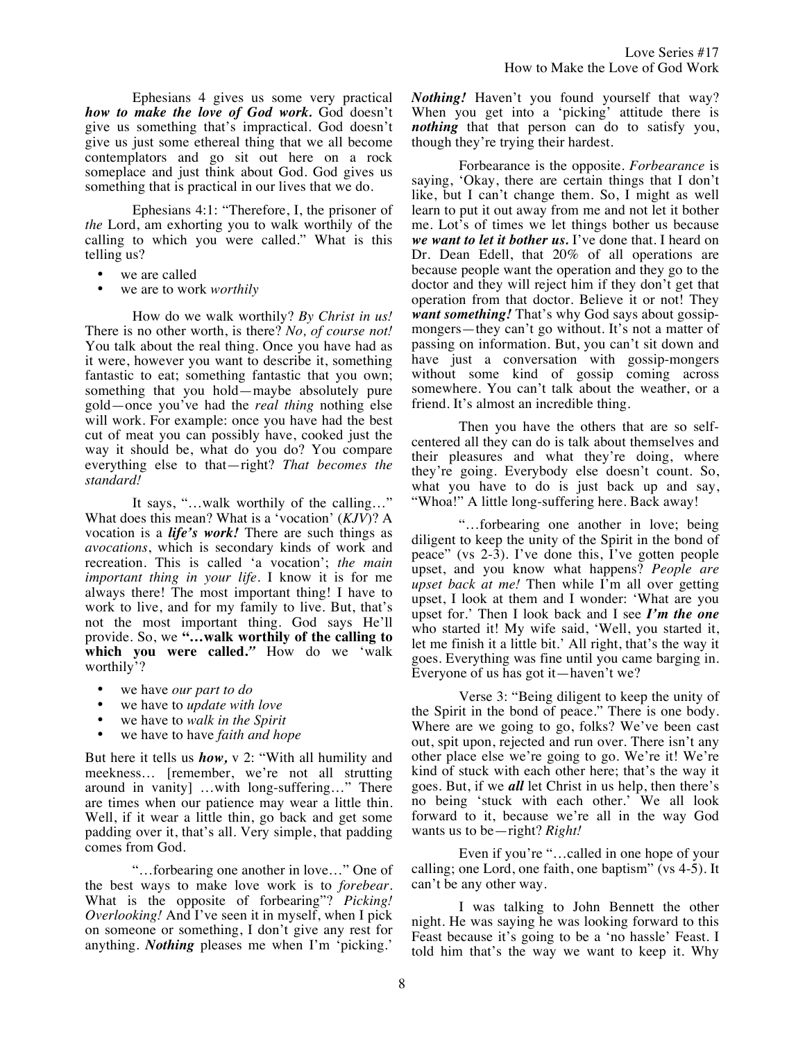Ephesians 4 gives us some very practical *how to make the love of God work.* God doesn't give us something that's impractical. God doesn't give us just some ethereal thing that we all become contemplators and go sit out here on a rock someplace and just think about God. God gives us something that is practical in our lives that we do.

Ephesians 4:1: "Therefore, I, the prisoner of *the* Lord, am exhorting you to walk worthily of the calling to which you were called." What is this telling us?

- we are called
- we are to work *worthily*

How do we walk worthily? *By Christ in us!* There is no other worth, is there? *No, of course not!* You talk about the real thing. Once you have had as it were, however you want to describe it, something fantastic to eat; something fantastic that you own; something that you hold—maybe absolutely pure gold—once you've had the *real thing* nothing else will work. For example: once you have had the best cut of meat you can possibly have, cooked just the way it should be, what do you do? You compare everything else to that—right? *That becomes the standard!*

It says, "…walk worthily of the calling…" What does this mean? What is a 'vocation' (*KJV*)? A vocation is a *life's work!* There are such things as *avocations*, which is secondary kinds of work and recreation. This is called 'a vocation'; *the main important thing in your life.* I know it is for me always there! The most important thing! I have to work to live, and for my family to live. But, that's not the most important thing. God says He'll provide. So, we **"…walk worthily of the calling to which you were called.***"* How do we 'walk worthily'?

- we have *our part to do*
- we have to *update with love*
- we have to *walk in the Spirit*
- we have to have *faith and hope*

But here it tells us *how,* v 2: "With all humility and meekness… [remember, we're not all strutting around in vanity] …with long-suffering…" There are times when our patience may wear a little thin. Well, if it wear a little thin, go back and get some padding over it, that's all. Very simple, that padding comes from God.

"…forbearing one another in love…" One of the best ways to make love work is to *forebear*. What is the opposite of forbearing"? *Picking! Overlooking!* And I've seen it in myself, when I pick on someone or something, I don't give any rest for anything. *Nothing* pleases me when I'm 'picking.'

*Nothing!* Haven't you found yourself that way? When you get into a 'picking' attitude there is *nothing* that that person can do to satisfy you, though they're trying their hardest.

Forbearance is the opposite. *Forbearance* is saying, 'Okay, there are certain things that I don't like, but I can't change them. So, I might as well learn to put it out away from me and not let it bother me. Lot's of times we let things bother us because *we want to let it bother us.* I've done that. I heard on Dr. Dean Edell, that 20% of all operations are because people want the operation and they go to the doctor and they will reject him if they don't get that operation from that doctor. Believe it or not! They *want something!* That's why God says about gossipmongers—they can't go without. It's not a matter of passing on information. But, you can't sit down and have just a conversation with gossip-mongers without some kind of gossip coming across somewhere. You can't talk about the weather, or a friend. It's almost an incredible thing.

Then you have the others that are so selfcentered all they can do is talk about themselves and their pleasures and what they're doing, where they're going. Everybody else doesn't count. So, what you have to do is just back up and say, "Whoa!" A little long-suffering here. Back away!

"…forbearing one another in love; being diligent to keep the unity of the Spirit in the bond of peace" (vs 2-3). I've done this, I've gotten people upset, and you know what happens? *People are upset back at me!* Then while I'm all over getting upset, I look at them and I wonder: 'What are you upset for.' Then I look back and I see *I'm the one* who started it! My wife said, 'Well, you started it, let me finish it a little bit.' All right, that's the way it goes. Everything was fine until you came barging in. Everyone of us has got it—haven't we?

Verse 3: "Being diligent to keep the unity of the Spirit in the bond of peace." There is one body. Where are we going to go, folks? We've been cast out, spit upon, rejected and run over. There isn't any other place else we're going to go. We're it! We're kind of stuck with each other here; that's the way it goes. But, if we *all* let Christ in us help, then there's no being 'stuck with each other.' We all look forward to it, because we're all in the way God wants us to be—right? *Right!*

Even if you're "…called in one hope of your calling; one Lord, one faith, one baptism" (vs 4-5). It can't be any other way.

I was talking to John Bennett the other night. He was saying he was looking forward to this Feast because it's going to be a 'no hassle' Feast. I told him that's the way we want to keep it. Why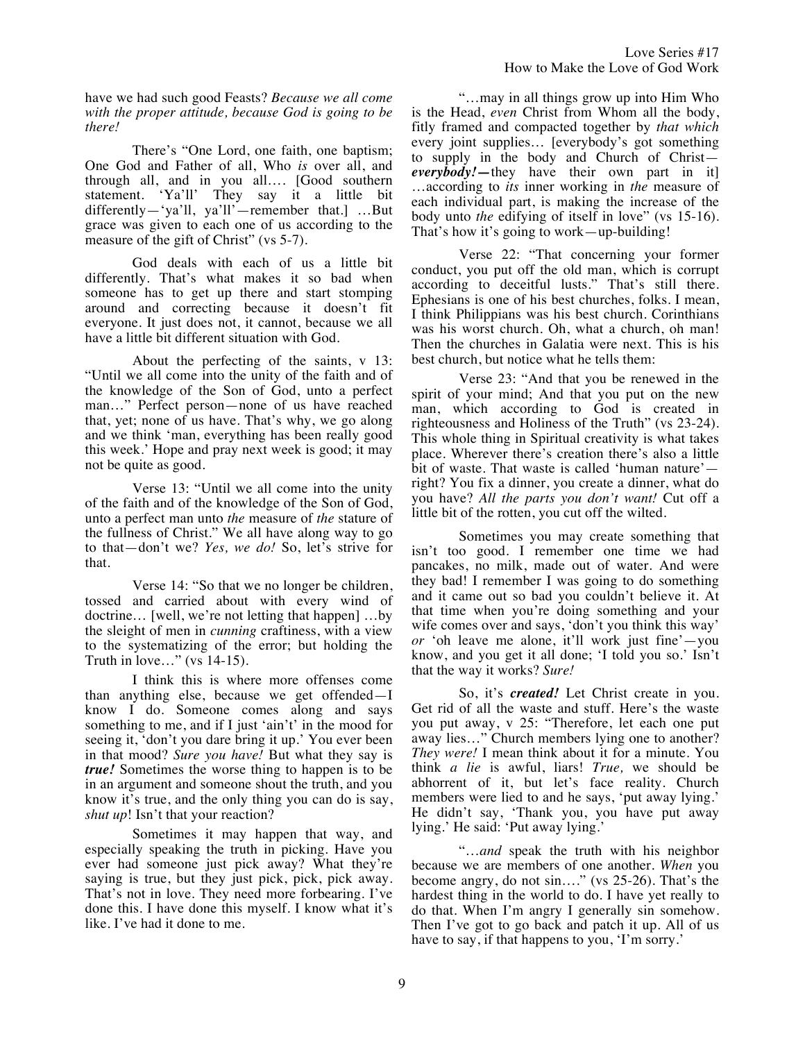Love Series #17 How to Make the Love of God Work

have we had such good Feasts? *Because we all come with the proper attitude, because God is going to be there!*

There's "One Lord, one faith, one baptism; One God and Father of all, Who *is* over all, and through all, and in you all…. [Good southern statement. 'Ya'll' They say it a little bit differently—'ya'll, ya'll'—remember that.] …But grace was given to each one of us according to the measure of the gift of Christ" (vs 5-7).

God deals with each of us a little bit differently. That's what makes it so bad when someone has to get up there and start stomping around and correcting because it doesn't fit everyone. It just does not, it cannot, because we all have a little bit different situation with God.

About the perfecting of the saints, v 13: "Until we all come into the unity of the faith and of the knowledge of the Son of God, unto a perfect man…" Perfect person—none of us have reached that, yet; none of us have. That's why, we go along and we think 'man, everything has been really good this week.' Hope and pray next week is good; it may not be quite as good.

Verse 13: "Until we all come into the unity of the faith and of the knowledge of the Son of God, unto a perfect man unto *the* measure of *the* stature of the fullness of Christ." We all have along way to go to that—don't we? *Yes, we do!* So, let's strive for that.

Verse 14: "So that we no longer be children, tossed and carried about with every wind of doctrine… [well, we're not letting that happen] …by the sleight of men in *cunning* craftiness, with a view to the systematizing of the error; but holding the Truth in love…" (vs 14-15).

I think this is where more offenses come than anything else, because we get offended—I know I do. Someone comes along and says something to me, and if I just 'ain't' in the mood for seeing it, 'don't you dare bring it up.' You ever been in that mood? *Sure you have!* But what they say is *true!* Sometimes the worse thing to happen is to be in an argument and someone shout the truth, and you know it's true, and the only thing you can do is say, *shut up*! Isn't that your reaction?

Sometimes it may happen that way, and especially speaking the truth in picking. Have you ever had someone just pick away? What they're saying is true, but they just pick, pick, pick away. That's not in love. They need more forbearing. I've done this. I have done this myself. I know what it's like. I've had it done to me.

"…may in all things grow up into Him Who is the Head, *even* Christ from Whom all the body, fitly framed and compacted together by *that which* every joint supplies… [everybody's got something to supply in the body and Church of Christ *everybody!—*they have their own part in it] …according to *its* inner working in *the* measure of each individual part, is making the increase of the body unto *the* edifying of itself in love" (vs 15-16). That's how it's going to work—up-building!

Verse 22: "That concerning your former conduct, you put off the old man, which is corrupt according to deceitful lusts." That's still there. Ephesians is one of his best churches, folks. I mean, I think Philippians was his best church. Corinthians was his worst church. Oh, what a church, oh man! Then the churches in Galatia were next. This is his best church, but notice what he tells them:

Verse 23: "And that you be renewed in the spirit of your mind; And that you put on the new man, which according to God is created in righteousness and Holiness of the Truth" (vs 23-24). This whole thing in Spiritual creativity is what takes place. Wherever there's creation there's also a little bit of waste. That waste is called 'human nature' right? You fix a dinner, you create a dinner, what do you have? *All the parts you don't want!* Cut off a little bit of the rotten, you cut off the wilted.

Sometimes you may create something that isn't too good. I remember one time we had pancakes, no milk, made out of water. And were they bad! I remember I was going to do something and it came out so bad you couldn't believe it. At that time when you're doing something and your wife comes over and says, 'don't you think this way' *or* 'oh leave me alone, it'll work just fine'—you know, and you get it all done; 'I told you so.' Isn't that the way it works? *Sure!*

So, it's *created!* Let Christ create in you. Get rid of all the waste and stuff. Here's the waste you put away, v 25: "Therefore, let each one put away lies…" Church members lying one to another? *They were!* I mean think about it for a minute. You think *a lie* is awful, liars! *True,* we should be abhorrent of it, but let's face reality. Church members were lied to and he says, 'put away lying.' He didn't say, 'Thank you, you have put away lying.' He said: 'Put away lying.'

"…*and* speak the truth with his neighbor because we are members of one another. *When* you become angry, do not sin…." (vs 25-26). That's the hardest thing in the world to do. I have yet really to do that. When I'm angry I generally sin somehow. Then I've got to go back and patch it up. All of us have to say, if that happens to you, 'I'm sorry.'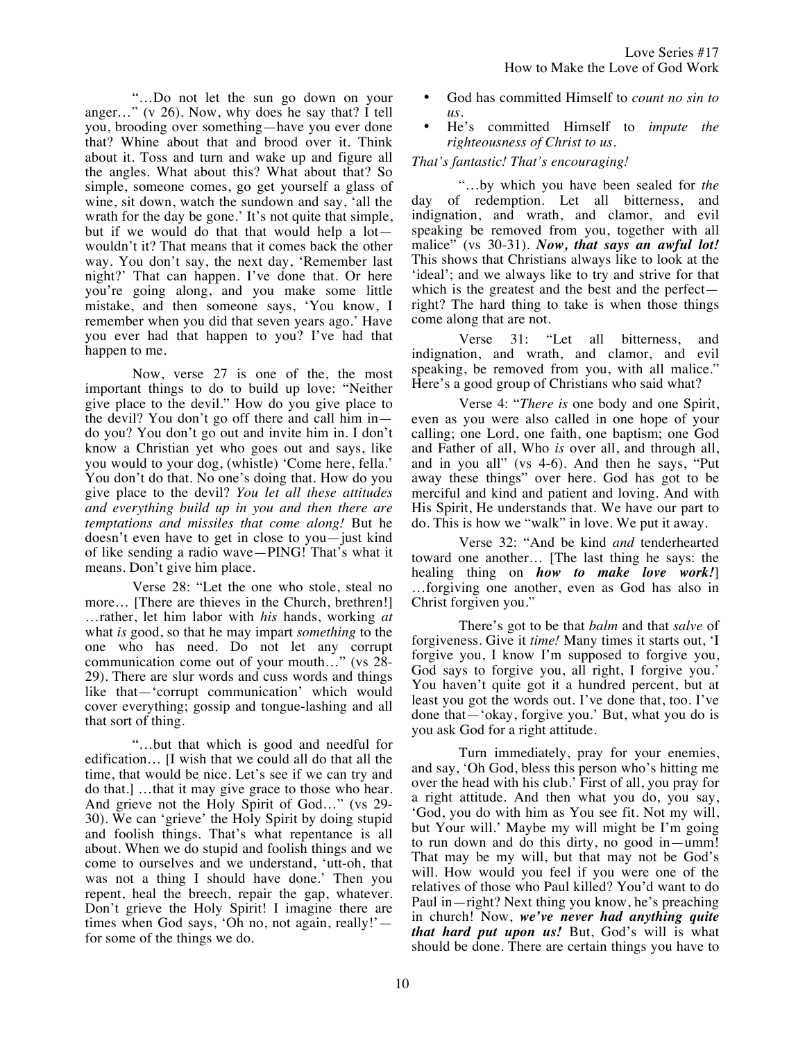"…Do not let the sun go down on your anger…" (v 26). Now, why does he say that? I tell you, brooding over something—have you ever done that? Whine about that and brood over it. Think about it. Toss and turn and wake up and figure all the angles. What about this? What about that? So simple, someone comes, go get yourself a glass of wine, sit down, watch the sundown and say, 'all the wrath for the day be gone.' It's not quite that simple, but if we would do that that would help a lot wouldn't it? That means that it comes back the other way. You don't say, the next day, 'Remember last night?' That can happen. I've done that. Or here you're going along, and you make some little mistake, and then someone says, 'You know, I remember when you did that seven years ago.' Have you ever had that happen to you? I've had that happen to me.

Now, verse 27 is one of the, the most important things to do to build up love: "Neither give place to the devil." How do you give place to the devil? You don't go off there and call him in do you? You don't go out and invite him in. I don't know a Christian yet who goes out and says, like you would to your dog, (whistle) 'Come here, fella.' You don't do that. No one's doing that. How do you give place to the devil? *You let all these attitudes and everything build up in you and then there are temptations and missiles that come along!* But he doesn't even have to get in close to you—just kind of like sending a radio wave—PING! That's what it means. Don't give him place.

Verse 28: "Let the one who stole, steal no more... [There are thieves in the Church, brethren!] …rather, let him labor with *his* hands, working *at* what *is* good, so that he may impart *something* to the one who has need. Do not let any corrupt communication come out of your mouth…" (vs 28- 29). There are slur words and cuss words and things like that—'corrupt communication' which would cover everything; gossip and tongue-lashing and all that sort of thing.

"…but that which is good and needful for edification… [I wish that we could all do that all the time, that would be nice. Let's see if we can try and do that.] …that it may give grace to those who hear. And grieve not the Holy Spirit of God…" (vs 29- 30). We can 'grieve' the Holy Spirit by doing stupid and foolish things. That's what repentance is all about. When we do stupid and foolish things and we come to ourselves and we understand, 'utt-oh, that was not a thing I should have done.' Then you repent, heal the breech, repair the gap, whatever. Don't grieve the Holy Spirit! I imagine there are times when God says, 'Oh no, not again, really!' for some of the things we do.

- God has committed Himself to *count no sin to us.*
- He's committed Himself to *impute the righteousness of Christ to us*.

# *That's fantastic! That's encouraging!*

"…by which you have been sealed for *the* day of redemption. Let all bitterness, and indignation, and wrath, and clamor, and evil speaking be removed from you, together with all malice" (vs 30-31). *Now, that says an awful lot!* This shows that Christians always like to look at the 'ideal'; and we always like to try and strive for that which is the greatest and the best and the perfect right? The hard thing to take is when those things come along that are not.

Verse 31: "Let all bitterness, and indignation, and wrath, and clamor, and evil speaking, be removed from you, with all malice." Here's a good group of Christians who said what?

Verse 4: "*There is* one body and one Spirit, even as you were also called in one hope of your calling; one Lord, one faith, one baptism; one God and Father of all, Who *is* over all, and through all, and in you all" (vs 4-6). And then he says, "Put away these things" over here. God has got to be merciful and kind and patient and loving. And with His Spirit, He understands that. We have our part to do. This is how we "walk" in love. We put it away.

Verse 32: "And be kind *and* tenderhearted toward one another… [The last thing he says: the healing thing on *how to make love work!*] …forgiving one another, even as God has also in Christ forgiven you."

There's got to be that *balm* and that *salve* of forgiveness. Give it *time!* Many times it starts out, 'I forgive you, I know I'm supposed to forgive you, God says to forgive you, all right, I forgive you.' You haven't quite got it a hundred percent, but at least you got the words out. I've done that, too. I've done that—'okay, forgive you.' But, what you do is you ask God for a right attitude.

Turn immediately, pray for your enemies, and say, 'Oh God, bless this person who's hitting me over the head with his club.' First of all, you pray for a right attitude. And then what you do, you say, 'God, you do with him as You see fit. Not my will, but Your will.' Maybe my will might be I'm going to run down and do this dirty, no good in—umm! That may be my will, but that may not be God's will. How would you feel if you were one of the relatives of those who Paul killed? You'd want to do Paul in—right? Next thing you know, he's preaching in church! Now, *we've never had anything quite that hard put upon us!* But, God's will is what should be done. There are certain things you have to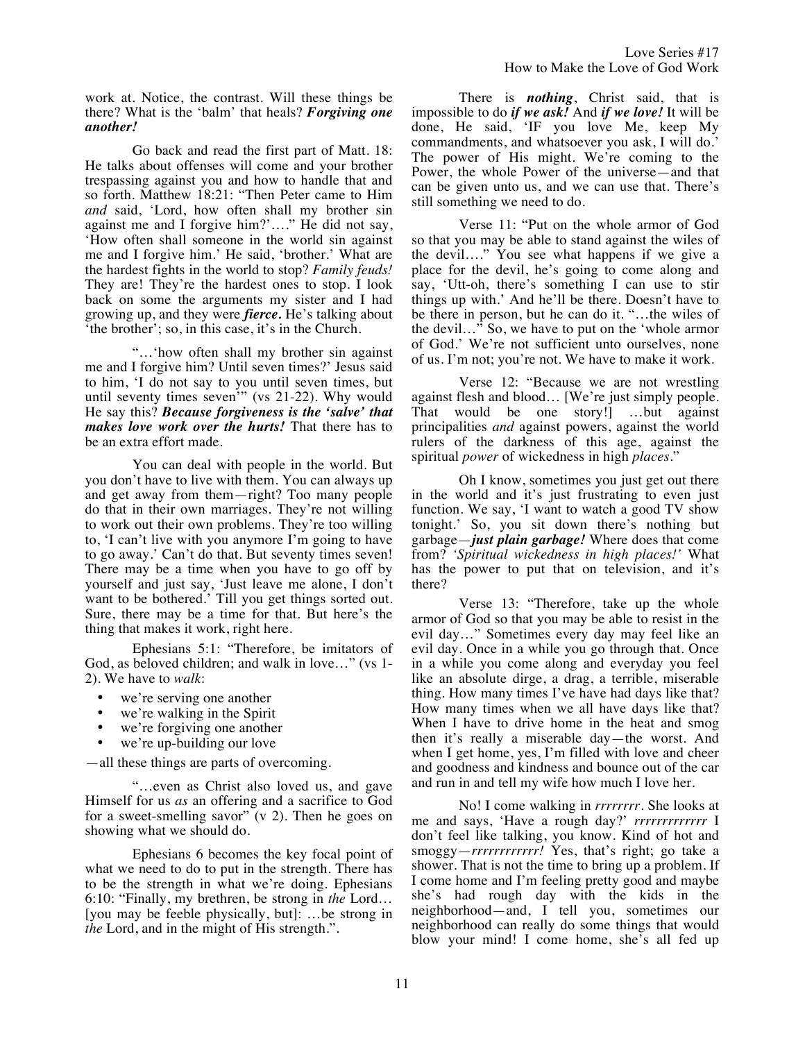Love Series #17 How to Make the Love of God Work

work at. Notice, the contrast. Will these things be there? What is the 'balm' that heals? *Forgiving one another!*

Go back and read the first part of Matt. 18: He talks about offenses will come and your brother trespassing against you and how to handle that and so forth. Matthew 18:21: "Then Peter came to Him *and* said, 'Lord, how often shall my brother sin against me and I forgive him?'…." He did not say, 'How often shall someone in the world sin against me and I forgive him.' He said, 'brother.' What are the hardest fights in the world to stop? *Family feuds!* They are! They're the hardest ones to stop. I look back on some the arguments my sister and I had growing up, and they were *fierce.* He's talking about 'the brother'; so, in this case, it's in the Church.

"…'how often shall my brother sin against me and I forgive him? Until seven times?' Jesus said to him, 'I do not say to you until seven times, but until seventy times seven<sup>'"</sup> (vs 21-22). Why would He say this? *Because forgiveness is the 'salve' that makes love work over the hurts!* That there has to be an extra effort made.

You can deal with people in the world. But you don't have to live with them. You can always up and get away from them—right? Too many people do that in their own marriages. They're not willing to work out their own problems. They're too willing to, 'I can't live with you anymore I'm going to have to go away.' Can't do that. But seventy times seven! There may be a time when you have to go off by yourself and just say, 'Just leave me alone, I don't want to be bothered.' Till you get things sorted out. Sure, there may be a time for that. But here's the thing that makes it work, right here.

Ephesians 5:1: "Therefore, be imitators of God, as beloved children; and walk in love…" (vs 1- 2). We have to *walk*:

- we're serving one another
- we're walking in the Spirit
- we're forgiving one another
- we're up-building our love

—all these things are parts of overcoming.

"…even as Christ also loved us, and gave Himself for us *as* an offering and a sacrifice to God for a sweet-smelling savor"  $(v 2)$ . Then he goes on showing what we should do.

Ephesians 6 becomes the key focal point of what we need to do to put in the strength. There has to be the strength in what we're doing. Ephesians 6:10: "Finally, my brethren, be strong in *the* Lord… [you may be feeble physically, but]: …be strong in *the* Lord, and in the might of His strength.".

There is *nothing*, Christ said, that is impossible to do *if we ask!* And *if we love!* It will be done, He said, 'IF you love Me, keep My commandments, and whatsoever you ask, I will do.' The power of His might. We're coming to the Power, the whole Power of the universe—and that can be given unto us, and we can use that. There's still something we need to do.

Verse 11: "Put on the whole armor of God so that you may be able to stand against the wiles of the devil…." You see what happens if we give a place for the devil, he's going to come along and say, 'Utt-oh, there's something I can use to stir things up with.' And he'll be there. Doesn't have to be there in person, but he can do it. "…the wiles of the devil…" So, we have to put on the 'whole armor of God.' We're not sufficient unto ourselves, none of us. I'm not; you're not. We have to make it work.

Verse 12: "Because we are not wrestling against flesh and blood… [We're just simply people. That would be one story!] …but against principalities *and* against powers, against the world rulers of the darkness of this age, against the spiritual *power* of wickedness in high *places.*"

Oh I know, sometimes you just get out there in the world and it's just frustrating to even just function. We say, 'I want to watch a good TV show tonight.' So, you sit down there's nothing but garbage—*just plain garbage!* Where does that come from? *'Spiritual wickedness in high places!'* What has the power to put that on television, and it's there?

Verse 13: "Therefore, take up the whole armor of God so that you may be able to resist in the evil day…" Sometimes every day may feel like an evil day. Once in a while you go through that. Once in a while you come along and everyday you feel like an absolute dirge, a drag, a terrible, miserable thing. How many times I've have had days like that? How many times when we all have days like that? When I have to drive home in the heat and smog then it's really a miserable day—the worst. And when I get home, yes, I'm filled with love and cheer and goodness and kindness and bounce out of the car and run in and tell my wife how much I love her.

No! I come walking in *rrrrrrrr*. She looks at me and says, 'Have a rough day?' *rrrrrrrrrrrrr* I don't feel like talking, you know. Kind of hot and smoggy—*rrrrrrrrrrrr!* Yes, that's right; go take a shower. That is not the time to bring up a problem. If I come home and I'm feeling pretty good and maybe she's had rough day with the kids in the neighborhood—and, I tell you, sometimes our neighborhood can really do some things that would blow your mind! I come home, she's all fed up